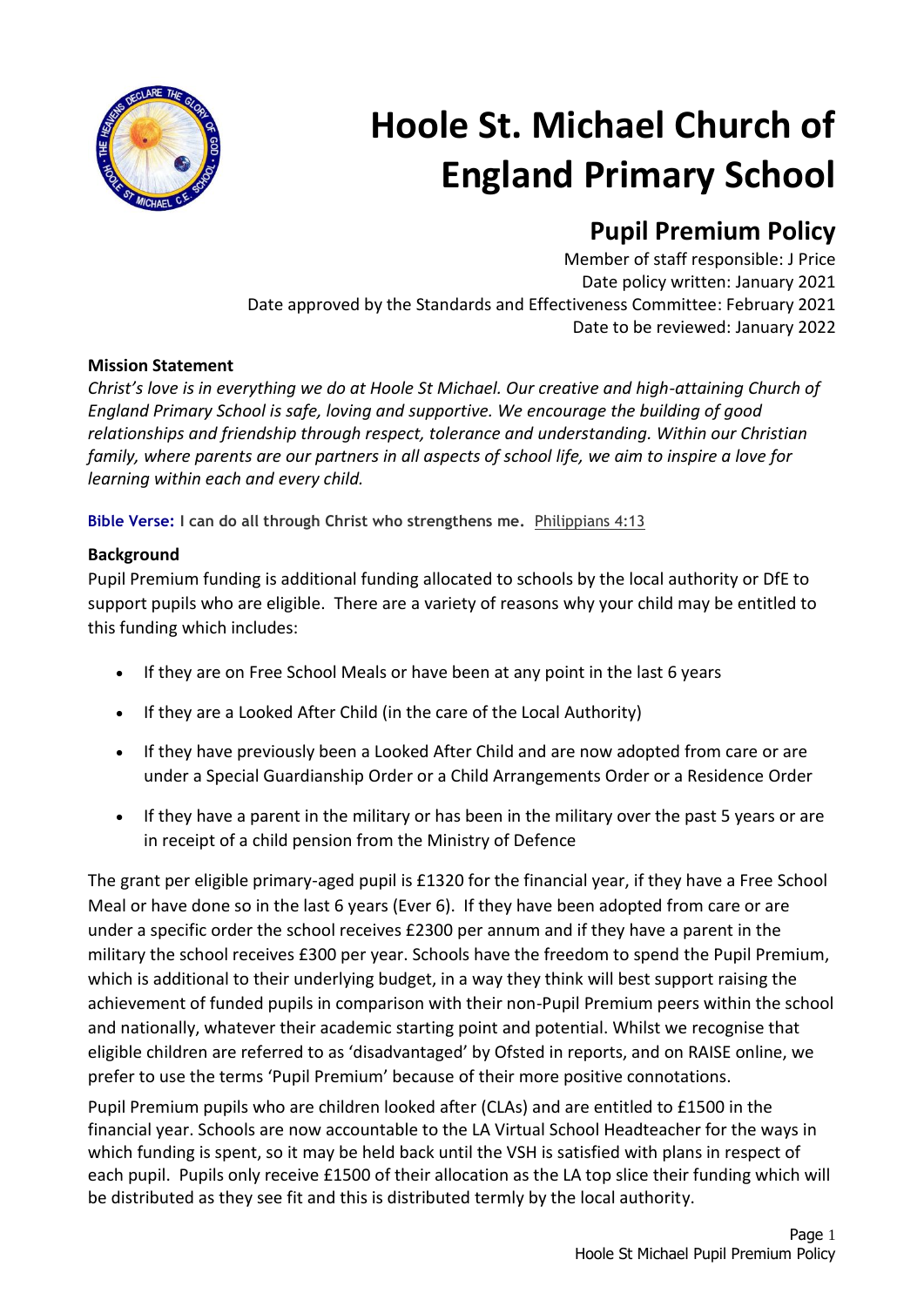

# **Hoole St. Michael Church of England Primary School**

# **Pupil Premium Policy**

Member of staff responsible: J Price Date policy written: January 2021 Date approved by the Standards and Effectiveness Committee: February 2021 Date to be reviewed: January 2022

# **Mission Statement**

*Christ's love is in everything we do at Hoole St Michael. Our creative and high-attaining Church of England Primary School is safe, loving and supportive. We encourage the building of good relationships and friendship through respect, tolerance and understanding. Within our Christian family, where parents are our partners in all aspects of school life, we aim to inspire a love for learning within each and every child.*

**Bible Verse: I can do all through Christ who strengthens me.** Philippians 4:13

# **Background**

Pupil Premium funding is additional funding allocated to schools by the local authority or DfE to support pupils who are eligible. There are a variety of reasons why your child may be entitled to this funding which includes:

- If they are on Free School Meals or have been at any point in the last 6 years
- If they are a Looked After Child (in the care of the Local Authority)
- If they have previously been a Looked After Child and are now adopted from care or are under a Special Guardianship Order or a Child Arrangements Order or a Residence Order
- If they have a parent in the military or has been in the military over the past 5 years or are in receipt of a child pension from the Ministry of Defence

The grant per eligible primary-aged pupil is £1320 for the financial year, if they have a Free School Meal or have done so in the last 6 years (Ever 6). If they have been adopted from care or are under a specific order the school receives £2300 per annum and if they have a parent in the military the school receives £300 per year. Schools have the freedom to spend the Pupil Premium, which is additional to their underlying budget, in a way they think will best support raising the achievement of funded pupils in comparison with their non-Pupil Premium peers within the school and nationally, whatever their academic starting point and potential. Whilst we recognise that eligible children are referred to as 'disadvantaged' by Ofsted in reports, and on RAISE online, we prefer to use the terms 'Pupil Premium' because of their more positive connotations.

Pupil Premium pupils who are children looked after (CLAs) and are entitled to £1500 in the financial year. Schools are now accountable to the LA Virtual School Headteacher for the ways in which funding is spent, so it may be held back until the VSH is satisfied with plans in respect of each pupil. Pupils only receive £1500 of their allocation as the LA top slice their funding which will be distributed as they see fit and this is distributed termly by the local authority.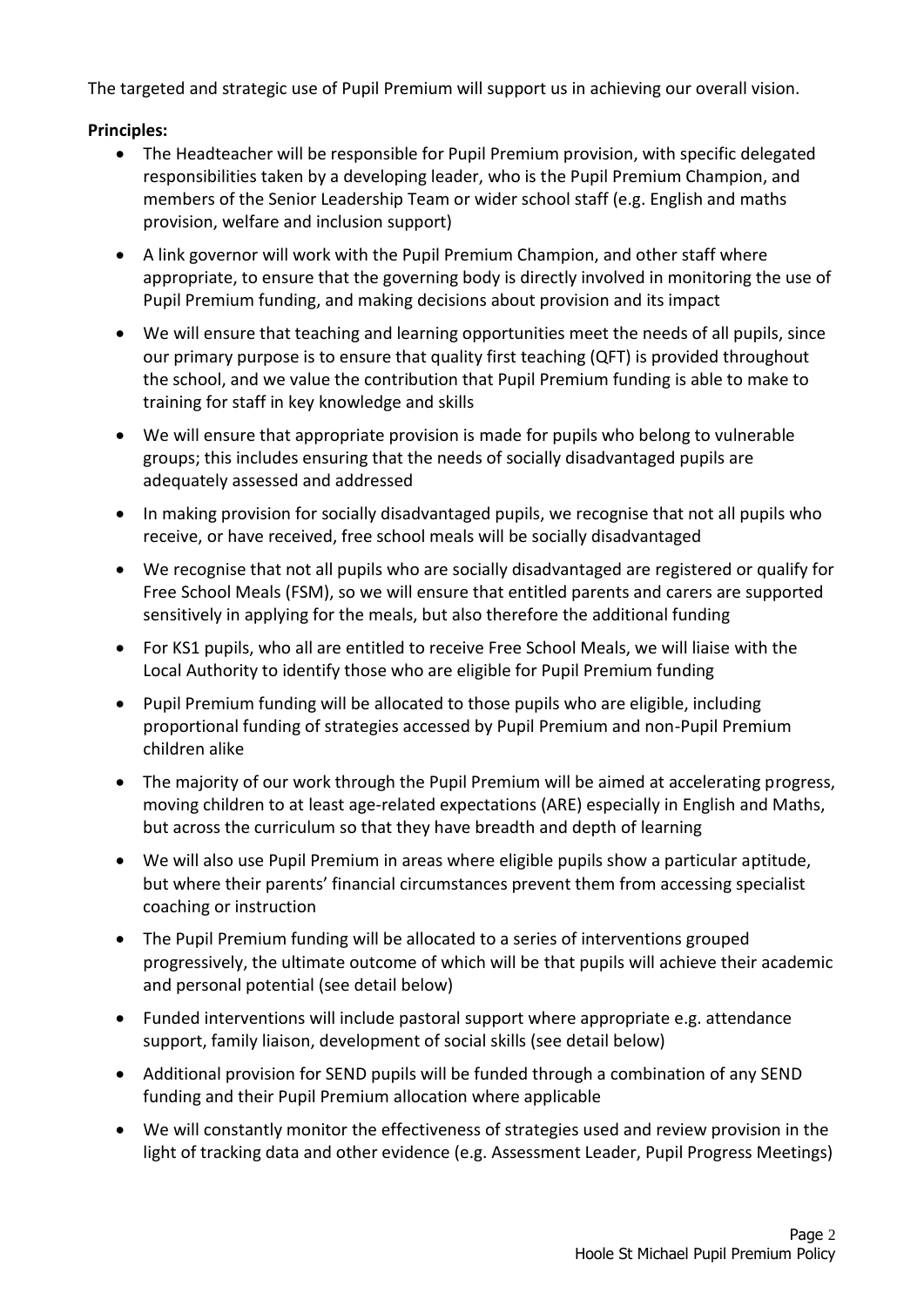The targeted and strategic use of Pupil Premium will support us in achieving our overall vision.

# **Principles:**

- The Headteacher will be responsible for Pupil Premium provision, with specific delegated responsibilities taken by a developing leader, who is the Pupil Premium Champion, and members of the Senior Leadership Team or wider school staff (e.g. English and maths provision, welfare and inclusion support)
- A link governor will work with the Pupil Premium Champion, and other staff where appropriate, to ensure that the governing body is directly involved in monitoring the use of Pupil Premium funding, and making decisions about provision and its impact
- We will ensure that teaching and learning opportunities meet the needs of all pupils, since our primary purpose is to ensure that quality first teaching (QFT) is provided throughout the school, and we value the contribution that Pupil Premium funding is able to make to training for staff in key knowledge and skills
- We will ensure that appropriate provision is made for pupils who belong to vulnerable groups; this includes ensuring that the needs of socially disadvantaged pupils are adequately assessed and addressed
- In making provision for socially disadvantaged pupils, we recognise that not all pupils who receive, or have received, free school meals will be socially disadvantaged
- We recognise that not all pupils who are socially disadvantaged are registered or qualify for Free School Meals (FSM), so we will ensure that entitled parents and carers are supported sensitively in applying for the meals, but also therefore the additional funding
- For KS1 pupils, who all are entitled to receive Free School Meals, we will liaise with the Local Authority to identify those who are eligible for Pupil Premium funding
- Pupil Premium funding will be allocated to those pupils who are eligible, including proportional funding of strategies accessed by Pupil Premium and non-Pupil Premium children alike
- The majority of our work through the Pupil Premium will be aimed at accelerating progress, moving children to at least age-related expectations (ARE) especially in English and Maths, but across the curriculum so that they have breadth and depth of learning
- We will also use Pupil Premium in areas where eligible pupils show a particular aptitude, but where their parents' financial circumstances prevent them from accessing specialist coaching or instruction
- The Pupil Premium funding will be allocated to a series of interventions grouped progressively, the ultimate outcome of which will be that pupils will achieve their academic and personal potential (see detail below)
- Funded interventions will include pastoral support where appropriate e.g. attendance support, family liaison, development of social skills (see detail below)
- Additional provision for SEND pupils will be funded through a combination of any SEND funding and their Pupil Premium allocation where applicable
- We will constantly monitor the effectiveness of strategies used and review provision in the light of tracking data and other evidence (e.g. Assessment Leader, Pupil Progress Meetings)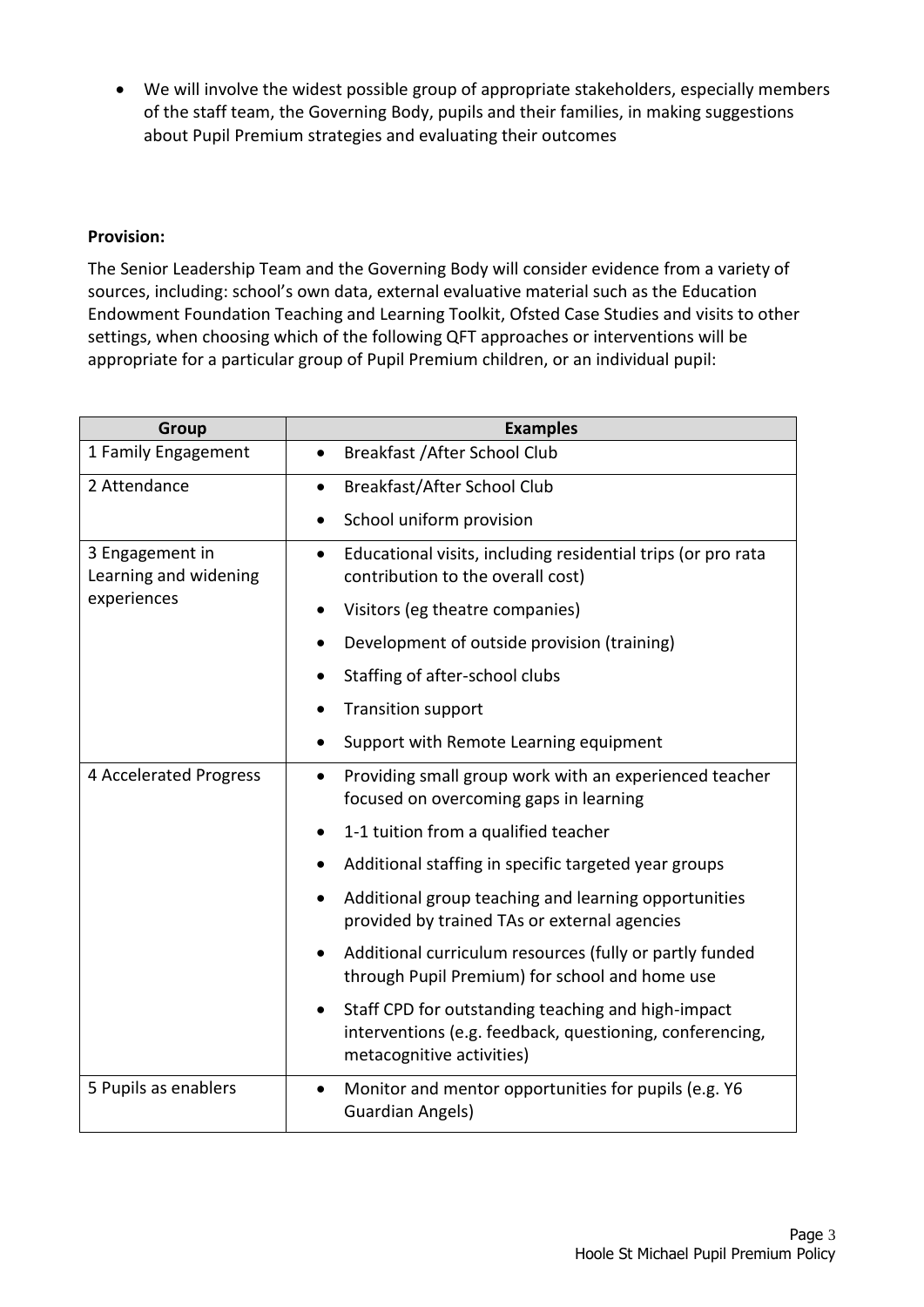We will involve the widest possible group of appropriate stakeholders, especially members of the staff team, the Governing Body, pupils and their families, in making suggestions about Pupil Premium strategies and evaluating their outcomes

#### **Provision:**

The Senior Leadership Team and the Governing Body will consider evidence from a variety of sources, including: school's own data, external evaluative material such as the Education Endowment Foundation Teaching and Learning Toolkit, Ofsted Case Studies and visits to other settings, when choosing which of the following QFT approaches or interventions will be appropriate for a particular group of Pupil Premium children, or an individual pupil:

| <b>Group</b>                                            | <b>Examples</b>                                                                                                                             |
|---------------------------------------------------------|---------------------------------------------------------------------------------------------------------------------------------------------|
| 1 Family Engagement                                     | Breakfast / After School Club<br>$\bullet$                                                                                                  |
| 2 Attendance                                            | Breakfast/After School Club<br>$\bullet$                                                                                                    |
|                                                         | School uniform provision<br>$\bullet$                                                                                                       |
| 3 Engagement in<br>Learning and widening<br>experiences | Educational visits, including residential trips (or pro rata<br>$\bullet$<br>contribution to the overall cost)                              |
|                                                         | Visitors (eg theatre companies)                                                                                                             |
|                                                         | Development of outside provision (training)                                                                                                 |
|                                                         | Staffing of after-school clubs                                                                                                              |
|                                                         | <b>Transition support</b><br>$\bullet$                                                                                                      |
|                                                         | Support with Remote Learning equipment                                                                                                      |
| 4 Accelerated Progress                                  | Providing small group work with an experienced teacher<br>$\bullet$<br>focused on overcoming gaps in learning                               |
|                                                         | 1-1 tuition from a qualified teacher                                                                                                        |
|                                                         | Additional staffing in specific targeted year groups                                                                                        |
|                                                         | Additional group teaching and learning opportunities<br>$\bullet$<br>provided by trained TAs or external agencies                           |
|                                                         | Additional curriculum resources (fully or partly funded<br>through Pupil Premium) for school and home use                                   |
|                                                         | Staff CPD for outstanding teaching and high-impact<br>interventions (e.g. feedback, questioning, conferencing,<br>metacognitive activities) |
| 5 Pupils as enablers                                    | Monitor and mentor opportunities for pupils (e.g. Y6<br>$\bullet$<br><b>Guardian Angels)</b>                                                |